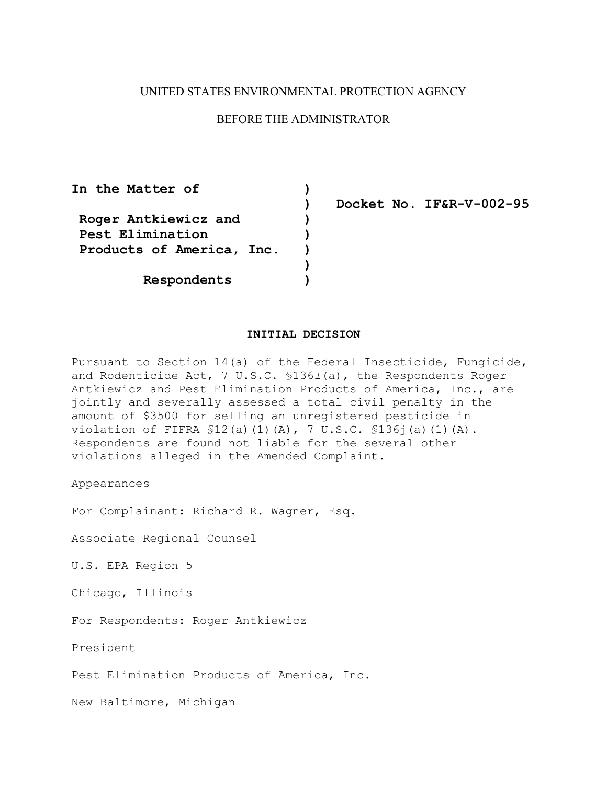# UNITED STATES ENVIRONMENTAL PROTECTION AGENCY

# BEFORE THE ADMINISTRATOR

In the Matter of  $)$  **Roger Antkiewicz and ) Pest Elimination ) Products of America, Inc. ) ) Respondents )** 

**) Docket No. IF&R-V-002-95** 

# **INITIAL DECISION**

Pursuant to Section 14(a) of the Federal Insecticide, Fungicide, and Rodenticide Act, 7 U.S.C. §136*l*(a), the Respondents Roger Antkiewicz and Pest Elimination Products of America, Inc., are jointly and severally assessed a total civil penalty in the amount of \$3500 for selling an unregistered pesticide in violation of FIFRA §12(a)(1)(A), 7 U.S.C. §136j(a)(1)(A). Respondents are found not liable for the several other violations alleged in the Amended Complaint.

## Appearances

For Complainant: Richard R. Wagner, Esq.

Associate Regional Counsel

U.S. EPA Region 5

Chicago, Illinois

For Respondents: Roger Antkiewicz

President

Pest Elimination Products of America, Inc.

New Baltimore, Michigan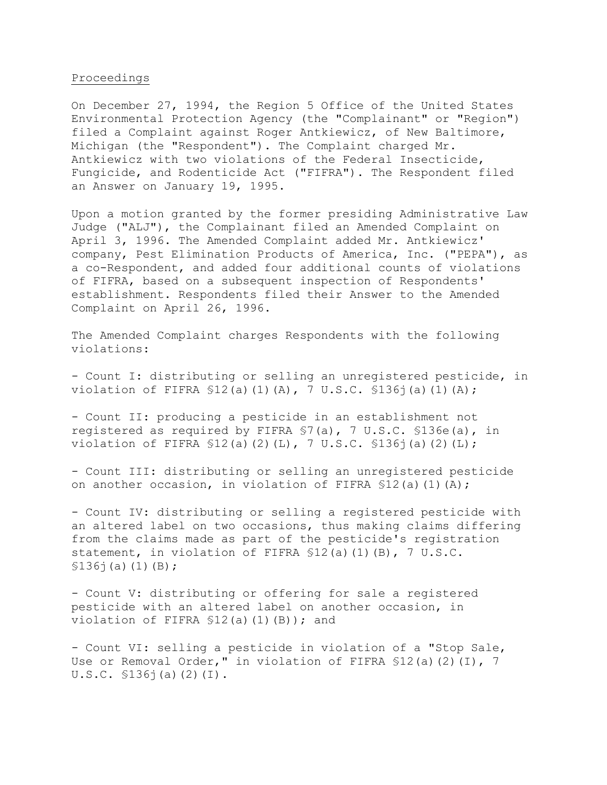## Proceedings

On December 27, 1994, the Region 5 Office of the United States Environmental Protection Agency (the "Complainant" or "Region") filed a Complaint against Roger Antkiewicz, of New Baltimore, Michigan (the "Respondent"). The Complaint charged Mr. Antkiewicz with two violations of the Federal Insecticide, Fungicide, and Rodenticide Act ("FIFRA"). The Respondent filed an Answer on January 19, 1995.

Upon a motion granted by the former presiding Administrative Law Judge ("ALJ"), the Complainant filed an Amended Complaint on April 3, 1996. The Amended Complaint added Mr. Antkiewicz' company, Pest Elimination Products of America, Inc. ("PEPA"), as a co-Respondent, and added four additional counts of violations of FIFRA, based on a subsequent inspection of Respondents' establishment. Respondents filed their Answer to the Amended Complaint on April 26, 1996.

The Amended Complaint charges Respondents with the following violations:

- Count I: distributing or selling an unregistered pesticide, in violation of FIFRA §12(a)(1)(A), 7 U.S.C. §136j(a)(1)(A);

- Count II: producing a pesticide in an establishment not registered as required by FIFRA §7(a), 7 U.S.C. §136e(a), in violation of FIFRA §12(a)(2)(L), 7 U.S.C. §136j(a)(2)(L);

- Count III: distributing or selling an unregistered pesticide on another occasion, in violation of FIFRA \$12(a)(1)(A);

- Count IV: distributing or selling a registered pesticide with an altered label on two occasions, thus making claims differing from the claims made as part of the pesticide's registration statement, in violation of FIFRA §12(a)(1)(B), 7 U.S.C.  $$136$ j(a)(1)(B);

- Count V: distributing or offering for sale a registered pesticide with an altered label on another occasion, in violation of FIFRA \$12(a)(1)(B)); and

- Count VI: selling a pesticide in violation of a "Stop Sale, Use or Removal Order," in violation of FIFRA \$12(a)(2)(I), 7 U.S.C. §136j(a)(2)(I).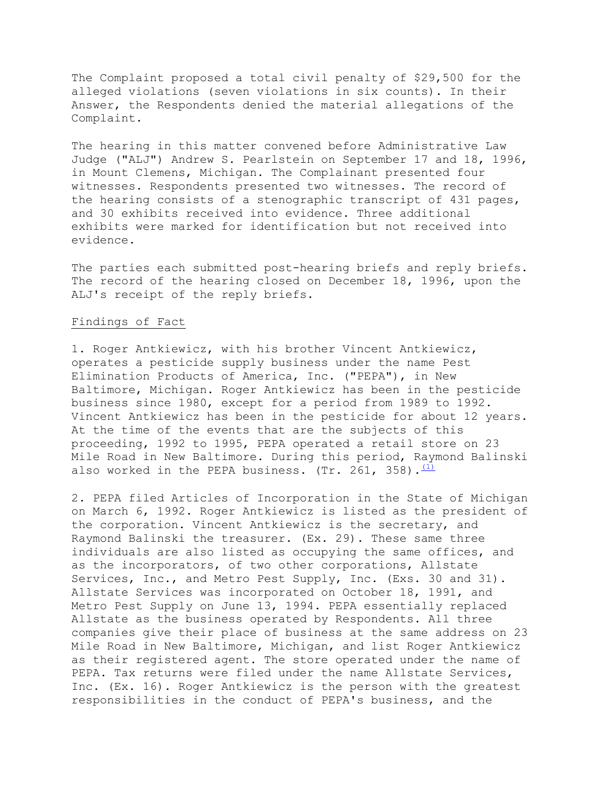The Complaint proposed a total civil penalty of \$29,500 for the alleged violations (seven violations in six counts). In their Answer, the Respondents denied the material allegations of the Complaint.

The hearing in this matter convened before Administrative Law Judge ("ALJ") Andrew S. Pearlstein on September 17 and 18, 1996, in Mount Clemens, Michigan. The Complainant presented four witnesses. Respondents presented two witnesses. The record of the hearing consists of a stenographic transcript of 431 pages, and 30 exhibits received into evidence. Three additional exhibits were marked for identification but not received into evidence.

The parties each submitted post-hearing briefs and reply briefs. The record of the hearing closed on December 18, 1996, upon the ALJ's receipt of the reply briefs.

# Findings of Fact

1. Roger Antkiewicz, with his brother Vincent Antkiewicz, operates a pesticide supply business under the name Pest Elimination Products of America, Inc. ("PEPA"), in New Baltimore, Michigan. Roger Antkiewicz has been in the pesticide business since 1980, except for a period from 1989 to 1992. Vincent Antkiewicz has been in the pesticide for about 12 years. At the time of the events that are the subjects of this proceeding, 1992 to 1995, PEPA operated a retail store on 23 Mile Road in New Baltimore. During this period, Raymond Balinski also worked in the PEPA business. (Tr. 261, 358).  $\frac{(1)}{(1)}$ 

2. PEPA filed Articles of Incorporation in the State of Michigan on March 6, 1992. Roger Antkiewicz is listed as the president of the corporation. Vincent Antkiewicz is the secretary, and Raymond Balinski the treasurer. (Ex. 29). These same three individuals are also listed as occupying the same offices, and as the incorporators, of two other corporations, Allstate Services, Inc., and Metro Pest Supply, Inc. (Exs. 30 and 31). Allstate Services was incorporated on October 18, 1991, and Metro Pest Supply on June 13, 1994. PEPA essentially replaced Allstate as the business operated by Respondents. All three companies give their place of business at the same address on 23 Mile Road in New Baltimore, Michigan, and list Roger Antkiewicz as their registered agent. The store operated under the name of PEPA. Tax returns were filed under the name Allstate Services, Inc. (Ex. 16). Roger Antkiewicz is the person with the greatest responsibilities in the conduct of PEPA's business, and the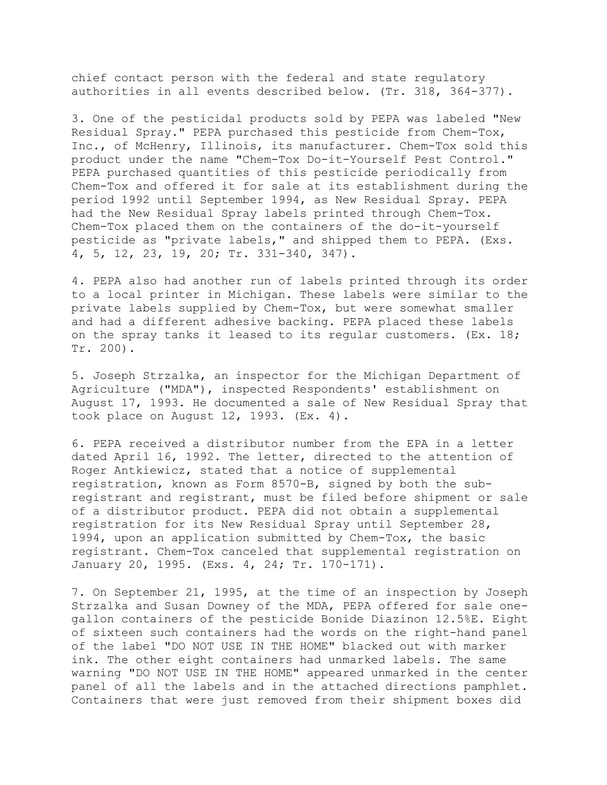chief contact person with the federal and state regulatory authorities in all events described below. (Tr. 318, 364-377).

3. One of the pesticidal products sold by PEPA was labeled "New Residual Spray." PEPA purchased this pesticide from Chem-Tox, Inc., of McHenry, Illinois, its manufacturer. Chem-Tox sold this product under the name "Chem-Tox Do-it-Yourself Pest Control." PEPA purchased quantities of this pesticide periodically from Chem-Tox and offered it for sale at its establishment during the period 1992 until September 1994, as New Residual Spray. PEPA had the New Residual Spray labels printed through Chem-Tox. Chem-Tox placed them on the containers of the do-it-yourself pesticide as "private labels," and shipped them to PEPA. (Exs. 4, 5, 12, 23, 19, 20; Tr. 331-340, 347).

4. PEPA also had another run of labels printed through its order to a local printer in Michigan. These labels were similar to the private labels supplied by Chem-Tox, but were somewhat smaller and had a different adhesive backing. PEPA placed these labels on the spray tanks it leased to its reqular customers.  $(EX. 18;$ Tr. 200).

5. Joseph Strzalka, an inspector for the Michigan Department of Agriculture ("MDA"), inspected Respondents' establishment on August 17, 1993. He documented a sale of New Residual Spray that took place on August 12, 1993. (Ex. 4).

6. PEPA received a distributor number from the EPA in a letter dated April 16, 1992. The letter, directed to the attention of Roger Antkiewicz, stated that a notice of supplemental registration, known as Form 8570-B, signed by both the subregistrant and registrant, must be filed before shipment or sale of a distributor product. PEPA did not obtain a supplemental registration for its New Residual Spray until September 28, 1994, upon an application submitted by Chem-Tox, the basic registrant. Chem-Tox canceled that supplemental registration on January 20, 1995. (Exs. 4, 24; Tr. 170-171).

7. On September 21, 1995, at the time of an inspection by Joseph Strzalka and Susan Downey of the MDA, PEPA offered for sale onegallon containers of the pesticide Bonide Diazinon 12.5%E. Eight of sixteen such containers had the words on the right-hand panel of the label "DO NOT USE IN THE HOME" blacked out with marker ink. The other eight containers had unmarked labels. The same warning "DO NOT USE IN THE HOME" appeared unmarked in the center panel of all the labels and in the attached directions pamphlet. Containers that were just removed from their shipment boxes did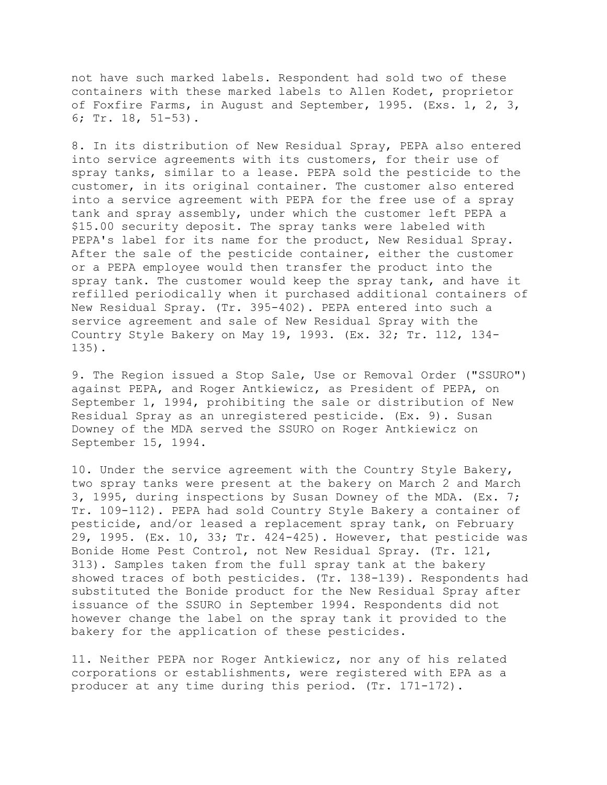not have such marked labels. Respondent had sold two of these containers with these marked labels to Allen Kodet, proprietor of Foxfire Farms, in August and September, 1995. (Exs. 1, 2, 3, 6; Tr. 18, 51-53).

8. In its distribution of New Residual Spray, PEPA also entered into service agreements with its customers, for their use of spray tanks, similar to a lease. PEPA sold the pesticide to the customer, in its original container. The customer also entered into a service agreement with PEPA for the free use of a spray tank and spray assembly, under which the customer left PEPA a \$15.00 security deposit. The spray tanks were labeled with PEPA's label for its name for the product, New Residual Spray. After the sale of the pesticide container, either the customer or a PEPA employee would then transfer the product into the spray tank. The customer would keep the spray tank, and have it refilled periodically when it purchased additional containers of New Residual Spray. (Tr. 395-402). PEPA entered into such a service agreement and sale of New Residual Spray with the Country Style Bakery on May 19, 1993. (Ex. 32; Tr. 112, 134- 135).

9. The Region issued a Stop Sale, Use or Removal Order ("SSURO") against PEPA, and Roger Antkiewicz, as President of PEPA, on September 1, 1994, prohibiting the sale or distribution of New Residual Spray as an unregistered pesticide. (Ex. 9). Susan Downey of the MDA served the SSURO on Roger Antkiewicz on September 15, 1994.

10. Under the service agreement with the Country Style Bakery, two spray tanks were present at the bakery on March 2 and March 3, 1995, during inspections by Susan Downey of the MDA. (Ex. 7; Tr. 109-112). PEPA had sold Country Style Bakery a container of pesticide, and/or leased a replacement spray tank, on February 29, 1995. (Ex. 10, 33; Tr. 424-425). However, that pesticide was Bonide Home Pest Control, not New Residual Spray. (Tr. 121, 313). Samples taken from the full spray tank at the bakery showed traces of both pesticides. (Tr. 138-139). Respondents had substituted the Bonide product for the New Residual Spray after issuance of the SSURO in September 1994. Respondents did not however change the label on the spray tank it provided to the bakery for the application of these pesticides.

11. Neither PEPA nor Roger Antkiewicz, nor any of his related corporations or establishments, were registered with EPA as a producer at any time during this period. (Tr. 171-172).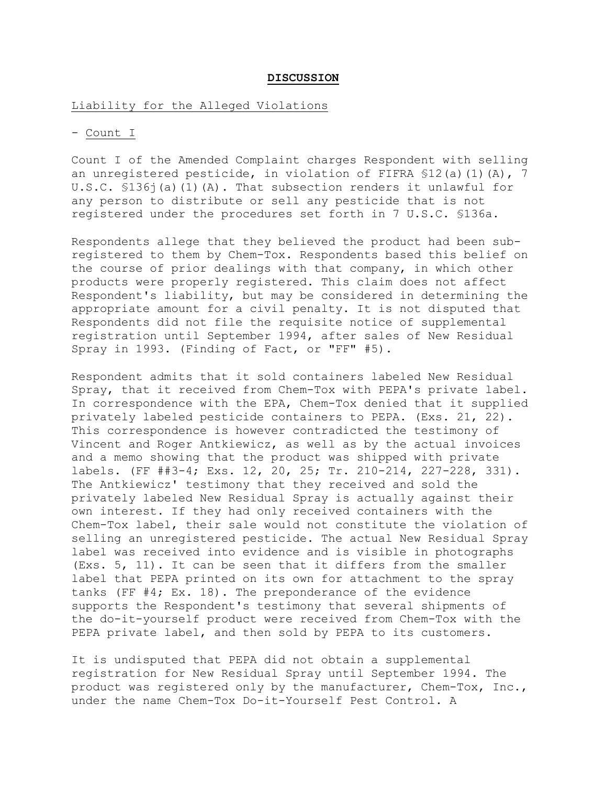## **DISCUSSION**

## Liability for the Alleged Violations

## - Count I

Count I of the Amended Complaint charges Respondent with selling an unregistered pesticide, in violation of FIFRA  $$12$ (a)(1)(A), 7 U.S.C. §136j(a)(1)(A). That subsection renders it unlawful for any person to distribute or sell any pesticide that is not registered under the procedures set forth in 7 U.S.C. §136a.

Respondents allege that they believed the product had been subregistered to them by Chem-Tox. Respondents based this belief on the course of prior dealings with that company, in which other products were properly registered. This claim does not affect Respondent's liability, but may be considered in determining the appropriate amount for a civil penalty. It is not disputed that Respondents did not file the requisite notice of supplemental registration until September 1994, after sales of New Residual Spray in 1993. (Finding of Fact, or "FF" #5).

Respondent admits that it sold containers labeled New Residual Spray, that it received from Chem-Tox with PEPA's private label. In correspondence with the EPA, Chem-Tox denied that it supplied privately labeled pesticide containers to PEPA. (Exs. 21, 22). This correspondence is however contradicted the testimony of Vincent and Roger Antkiewicz, as well as by the actual invoices and a memo showing that the product was shipped with private labels. (FF ##3-4; Exs. 12, 20, 25; Tr. 210-214, 227-228, 331). The Antkiewicz' testimony that they received and sold the privately labeled New Residual Spray is actually against their own interest. If they had only received containers with the Chem-Tox label, their sale would not constitute the violation of selling an unregistered pesticide. The actual New Residual Spray label was received into evidence and is visible in photographs (Exs. 5, 11). It can be seen that it differs from the smaller label that PEPA printed on its own for attachment to the spray tanks (FF #4; Ex. 18). The preponderance of the evidence supports the Respondent's testimony that several shipments of the do-it-yourself product were received from Chem-Tox with the PEPA private label, and then sold by PEPA to its customers.

It is undisputed that PEPA did not obtain a supplemental registration for New Residual Spray until September 1994. The product was registered only by the manufacturer, Chem-Tox, Inc., under the name Chem-Tox Do-it-Yourself Pest Control. A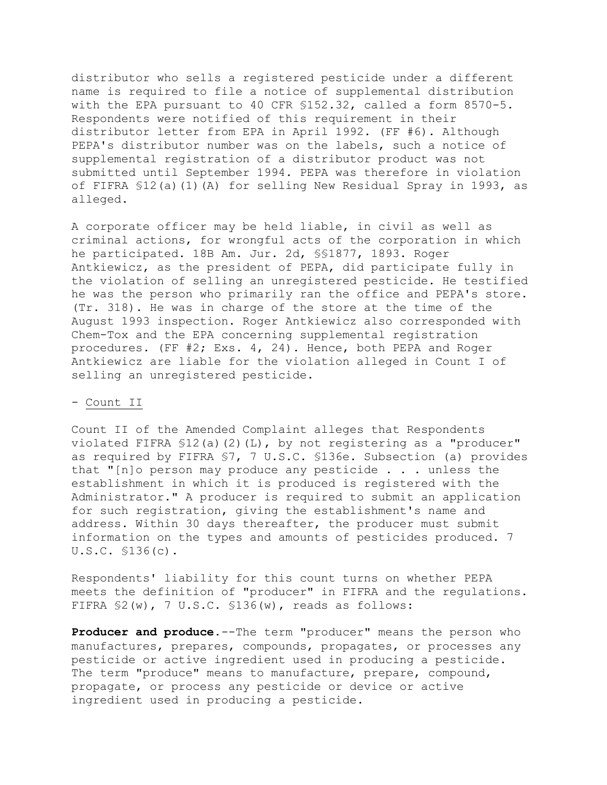distributor who sells a registered pesticide under a different name is required to file a notice of supplemental distribution with the EPA pursuant to 40 CFR §152.32, called a form 8570-5. Respondents were notified of this requirement in their distributor letter from EPA in April 1992. (FF #6). Although PEPA's distributor number was on the labels, such a notice of supplemental registration of a distributor product was not submitted until September 1994. PEPA was therefore in violation of FIFRA §12(a)(1)(A) for selling New Residual Spray in 1993, as alleged.

A corporate officer may be held liable, in civil as well as criminal actions, for wrongful acts of the corporation in which he participated. 18B Am. Jur. 2d, §§1877, 1893. Roger Antkiewicz, as the president of PEPA, did participate fully in the violation of selling an unregistered pesticide. He testified he was the person who primarily ran the office and PEPA's store. (Tr. 318). He was in charge of the store at the time of the August 1993 inspection. Roger Antkiewicz also corresponded with Chem-Tox and the EPA concerning supplemental registration procedures. (FF #2; Exs. 4, 24). Hence, both PEPA and Roger Antkiewicz are liable for the violation alleged in Count I of selling an unregistered pesticide.

# - Count II

Count II of the Amended Complaint alleges that Respondents violated FIFRA §12(a)(2)(L), by not registering as a "producer" as required by FIFRA §7, 7 U.S.C. §136e. Subsection (a) provides that "[n]o person may produce any pesticide . . . unless the establishment in which it is produced is registered with the Administrator." A producer is required to submit an application for such registration, giving the establishment's name and address. Within 30 days thereafter, the producer must submit information on the types and amounts of pesticides produced. 7 U.S.C. §136(c).

Respondents' liability for this count turns on whether PEPA meets the definition of "producer" in FIFRA and the regulations. FIFRA §2(w), 7 U.S.C. §136(w), reads as follows:

**Producer and produce.**--The term "producer" means the person who manufactures, prepares, compounds, propagates, or processes any pesticide or active ingredient used in producing a pesticide. The term "produce" means to manufacture, prepare, compound, propagate, or process any pesticide or device or active ingredient used in producing a pesticide.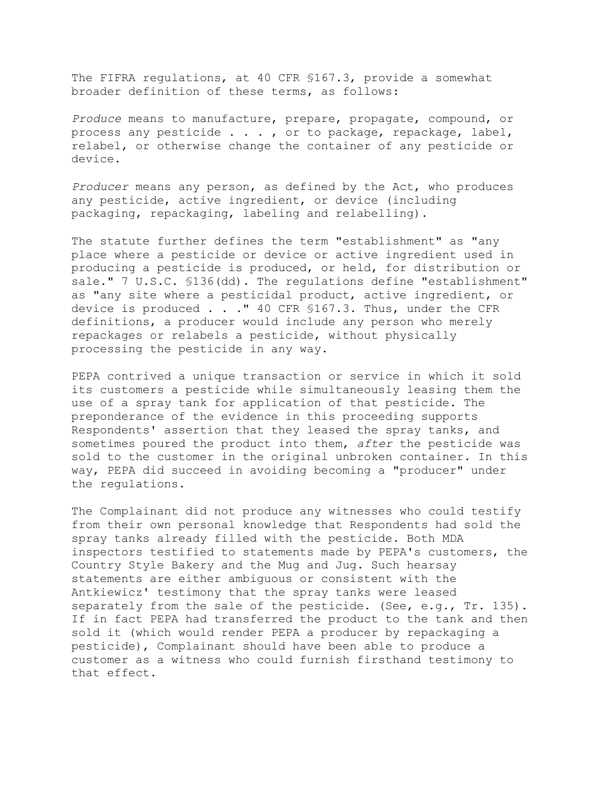The FIFRA regulations, at 40 CFR §167.3, provide a somewhat broader definition of these terms, as follows:

*Produce* means to manufacture, prepare, propagate, compound, or process any pesticide . . . , or to package, repackage, label, relabel, or otherwise change the container of any pesticide or device.

*Producer* means any person, as defined by the Act, who produces any pesticide, active ingredient, or device (including packaging, repackaging, labeling and relabelling).

The statute further defines the term "establishment" as "any place where a pesticide or device or active ingredient used in producing a pesticide is produced, or held, for distribution or sale." 7 U.S.C. §136(dd). The regulations define "establishment" as "any site where a pesticidal product, active ingredient, or device is produced . . ." 40 CFR §167.3. Thus, under the CFR definitions, a producer would include any person who merely repackages or relabels a pesticide, without physically processing the pesticide in any way.

PEPA contrived a unique transaction or service in which it sold its customers a pesticide while simultaneously leasing them the use of a spray tank for application of that pesticide. The preponderance of the evidence in this proceeding supports Respondents' assertion that they leased the spray tanks, and sometimes poured the product into them, *after* the pesticide was sold to the customer in the original unbroken container. In this way, PEPA did succeed in avoiding becoming a "producer" under the regulations.

The Complainant did not produce any witnesses who could testify from their own personal knowledge that Respondents had sold the spray tanks already filled with the pesticide. Both MDA inspectors testified to statements made by PEPA's customers, the Country Style Bakery and the Mug and Jug. Such hearsay statements are either ambiguous or consistent with the Antkiewicz' testimony that the spray tanks were leased separately from the sale of the pesticide. (See, e.g., Tr. 135). If in fact PEPA had transferred the product to the tank and then sold it (which would render PEPA a producer by repackaging a pesticide), Complainant should have been able to produce a customer as a witness who could furnish firsthand testimony to that effect.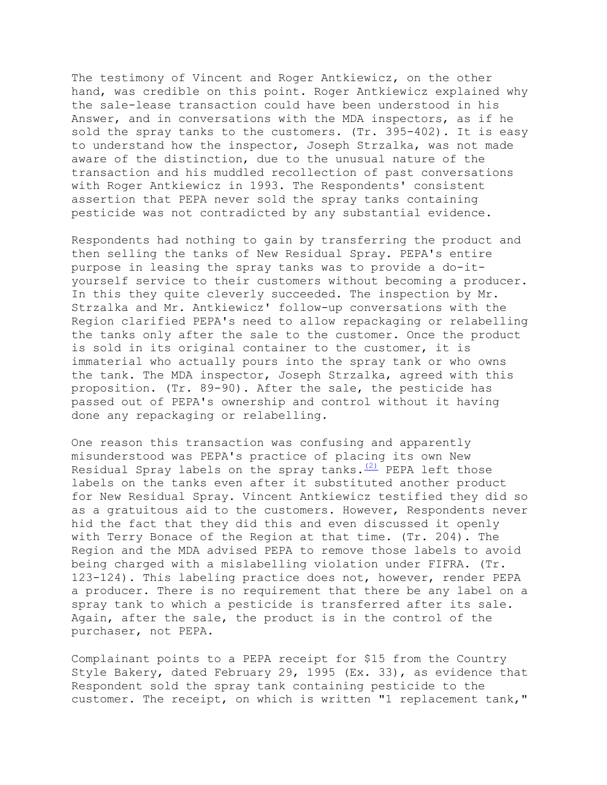The testimony of Vincent and Roger Antkiewicz, on the other hand, was credible on this point. Roger Antkiewicz explained why the sale-lease transaction could have been understood in his Answer, and in conversations with the MDA inspectors, as if he sold the spray tanks to the customers. (Tr. 395-402). It is easy to understand how the inspector, Joseph Strzalka, was not made aware of the distinction, due to the unusual nature of the transaction and his muddled recollection of past conversations with Roger Antkiewicz in 1993. The Respondents' consistent assertion that PEPA never sold the spray tanks containing pesticide was not contradicted by any substantial evidence.

Respondents had nothing to gain by transferring the product and then selling the tanks of New Residual Spray. PEPA's entire purpose in leasing the spray tanks was to provide a do-ityourself service to their customers without becoming a producer. In this they quite cleverly succeeded. The inspection by Mr. Strzalka and Mr. Antkiewicz' follow-up conversations with the Region clarified PEPA's need to allow repackaging or relabelling the tanks only after the sale to the customer. Once the product is sold in its original container to the customer, it is immaterial who actually pours into the spray tank or who owns the tank. The MDA inspector, Joseph Strzalka, agreed with this proposition. (Tr. 89-90). After the sale, the pesticide has passed out of PEPA's ownership and control without it having done any repackaging or relabelling.

One reason this transaction was confusing and apparently misunderstood was PEPA's practice of placing its own New Residual Spray labels on the spray tanks. $(2)$  PEPA left those labels on the tanks even after it substituted another product for New Residual Spray. Vincent Antkiewicz testified they did so as a gratuitous aid to the customers. However, Respondents never hid the fact that they did this and even discussed it openly with Terry Bonace of the Region at that time. (Tr. 204). The Region and the MDA advised PEPA to remove those labels to avoid being charged with a mislabelling violation under FIFRA. (Tr. 123-124). This labeling practice does not, however, render PEPA a producer. There is no requirement that there be any label on a spray tank to which a pesticide is transferred after its sale. Again, after the sale, the product is in the control of the purchaser, not PEPA.

Complainant points to a PEPA receipt for \$15 from the Country Style Bakery, dated February 29, 1995 (Ex. 33), as evidence that Respondent sold the spray tank containing pesticide to the customer. The receipt, on which is written "1 replacement tank,"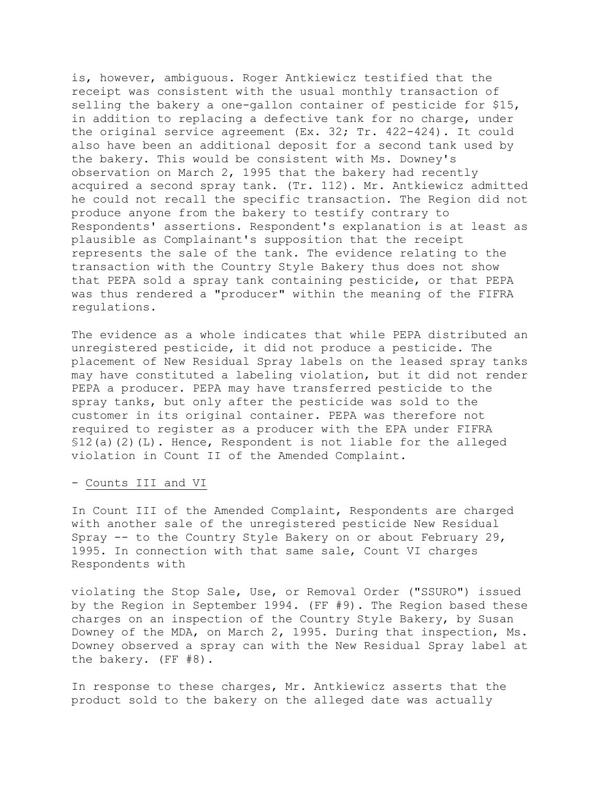is, however, ambiguous. Roger Antkiewicz testified that the receipt was consistent with the usual monthly transaction of selling the bakery a one-gallon container of pesticide for \$15, in addition to replacing a defective tank for no charge, under the original service agreement (Ex. 32; Tr. 422-424). It could also have been an additional deposit for a second tank used by the bakery. This would be consistent with Ms. Downey's observation on March 2, 1995 that the bakery had recently acquired a second spray tank. (Tr. 112). Mr. Antkiewicz admitted he could not recall the specific transaction. The Region did not produce anyone from the bakery to testify contrary to Respondents' assertions. Respondent's explanation is at least as plausible as Complainant's supposition that the receipt represents the sale of the tank. The evidence relating to the transaction with the Country Style Bakery thus does not show that PEPA sold a spray tank containing pesticide, or that PEPA was thus rendered a "producer" within the meaning of the FIFRA regulations.

The evidence as a whole indicates that while PEPA distributed an unregistered pesticide, it did not produce a pesticide. The placement of New Residual Spray labels on the leased spray tanks may have constituted a labeling violation, but it did not render PEPA a producer. PEPA may have transferred pesticide to the spray tanks, but only after the pesticide was sold to the customer in its original container. PEPA was therefore not required to register as a producer with the EPA under FIFRA  $$12(a)(2)(L)$ . Hence, Respondent is not liable for the alleged violation in Count II of the Amended Complaint.

#### - Counts III and VI

In Count III of the Amended Complaint, Respondents are charged with another sale of the unregistered pesticide New Residual Spray -- to the Country Style Bakery on or about February 29, 1995. In connection with that same sale, Count VI charges Respondents with

violating the Stop Sale, Use, or Removal Order ("SSURO") issued by the Region in September 1994. (FF #9). The Region based these charges on an inspection of the Country Style Bakery, by Susan Downey of the MDA, on March 2, 1995. During that inspection, Ms. Downey observed a spray can with the New Residual Spray label at the bakery. (FF #8).

In response to these charges, Mr. Antkiewicz asserts that the product sold to the bakery on the alleged date was actually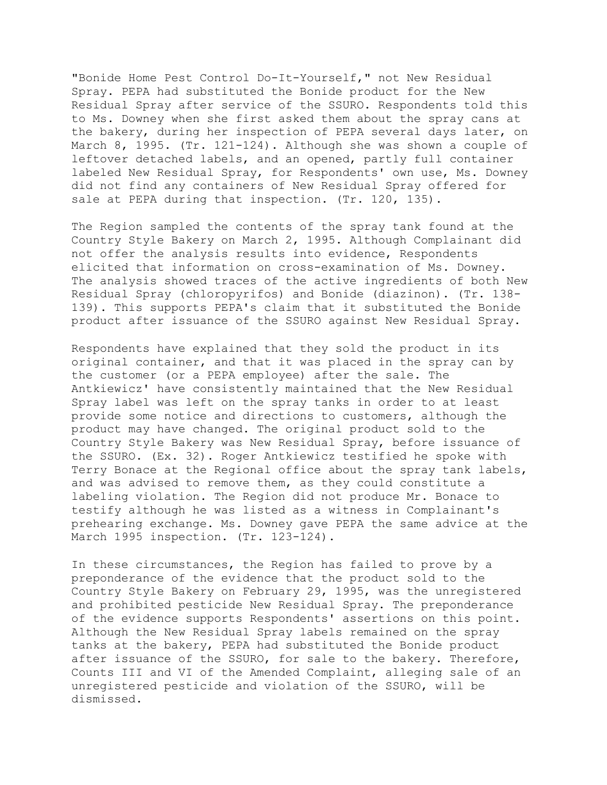"Bonide Home Pest Control Do-It-Yourself," not New Residual Spray. PEPA had substituted the Bonide product for the New Residual Spray after service of the SSURO. Respondents told this to Ms. Downey when she first asked them about the spray cans at the bakery, during her inspection of PEPA several days later, on March 8, 1995. (Tr. 121-124). Although she was shown a couple of leftover detached labels, and an opened, partly full container labeled New Residual Spray, for Respondents' own use, Ms. Downey did not find any containers of New Residual Spray offered for sale at PEPA during that inspection. (Tr. 120, 135).

The Region sampled the contents of the spray tank found at the Country Style Bakery on March 2, 1995. Although Complainant did not offer the analysis results into evidence, Respondents elicited that information on cross-examination of Ms. Downey. The analysis showed traces of the active ingredients of both New Residual Spray (chloropyrifos) and Bonide (diazinon). (Tr. 138- 139). This supports PEPA's claim that it substituted the Bonide product after issuance of the SSURO against New Residual Spray.

Respondents have explained that they sold the product in its original container, and that it was placed in the spray can by the customer (or a PEPA employee) after the sale. The Antkiewicz' have consistently maintained that the New Residual Spray label was left on the spray tanks in order to at least provide some notice and directions to customers, although the product may have changed. The original product sold to the Country Style Bakery was New Residual Spray, before issuance of the SSURO. (Ex. 32). Roger Antkiewicz testified he spoke with Terry Bonace at the Regional office about the spray tank labels, and was advised to remove them, as they could constitute a labeling violation. The Region did not produce Mr. Bonace to testify although he was listed as a witness in Complainant's prehearing exchange. Ms. Downey gave PEPA the same advice at the March 1995 inspection. (Tr. 123-124).

In these circumstances, the Region has failed to prove by a preponderance of the evidence that the product sold to the Country Style Bakery on February 29, 1995, was the unregistered and prohibited pesticide New Residual Spray. The preponderance of the evidence supports Respondents' assertions on this point. Although the New Residual Spray labels remained on the spray tanks at the bakery, PEPA had substituted the Bonide product after issuance of the SSURO, for sale to the bakery. Therefore, Counts III and VI of the Amended Complaint, alleging sale of an unregistered pesticide and violation of the SSURO, will be dismissed.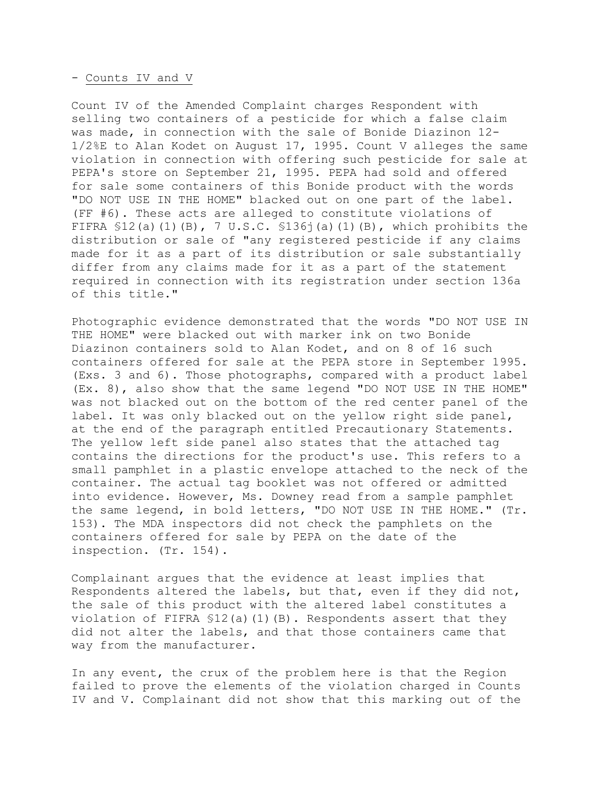#### - Counts IV and V

Count IV of the Amended Complaint charges Respondent with selling two containers of a pesticide for which a false claim was made, in connection with the sale of Bonide Diazinon 12- 1/2%E to Alan Kodet on August 17, 1995. Count V alleges the same violation in connection with offering such pesticide for sale at PEPA's store on September 21, 1995. PEPA had sold and offered for sale some containers of this Bonide product with the words "DO NOT USE IN THE HOME" blacked out on one part of the label. (FF #6). These acts are alleged to constitute violations of FIFRA  $$12(a)(1)(B)$ , 7 U.S.C.  $$136(1)(B)$ , which prohibits the distribution or sale of "any registered pesticide if any claims made for it as a part of its distribution or sale substantially differ from any claims made for it as a part of the statement required in connection with its registration under section 136a of this title."

Photographic evidence demonstrated that the words "DO NOT USE IN THE HOME" were blacked out with marker ink on two Bonide Diazinon containers sold to Alan Kodet, and on 8 of 16 such containers offered for sale at the PEPA store in September 1995. (Exs. 3 and 6). Those photographs, compared with a product label (Ex. 8), also show that the same legend "DO NOT USE IN THE HOME" was not blacked out on the bottom of the red center panel of the label. It was only blacked out on the yellow right side panel, at the end of the paragraph entitled Precautionary Statements. The yellow left side panel also states that the attached tag contains the directions for the product's use. This refers to a small pamphlet in a plastic envelope attached to the neck of the container. The actual tag booklet was not offered or admitted into evidence. However, Ms. Downey read from a sample pamphlet the same legend, in bold letters, "DO NOT USE IN THE HOME." (Tr. 153). The MDA inspectors did not check the pamphlets on the containers offered for sale by PEPA on the date of the inspection. (Tr. 154).

Complainant argues that the evidence at least implies that Respondents altered the labels, but that, even if they did not, the sale of this product with the altered label constitutes a violation of FIFRA  $$12(a)(1)(B)$ . Respondents assert that they did not alter the labels, and that those containers came that way from the manufacturer.

In any event, the crux of the problem here is that the Region failed to prove the elements of the violation charged in Counts IV and V. Complainant did not show that this marking out of the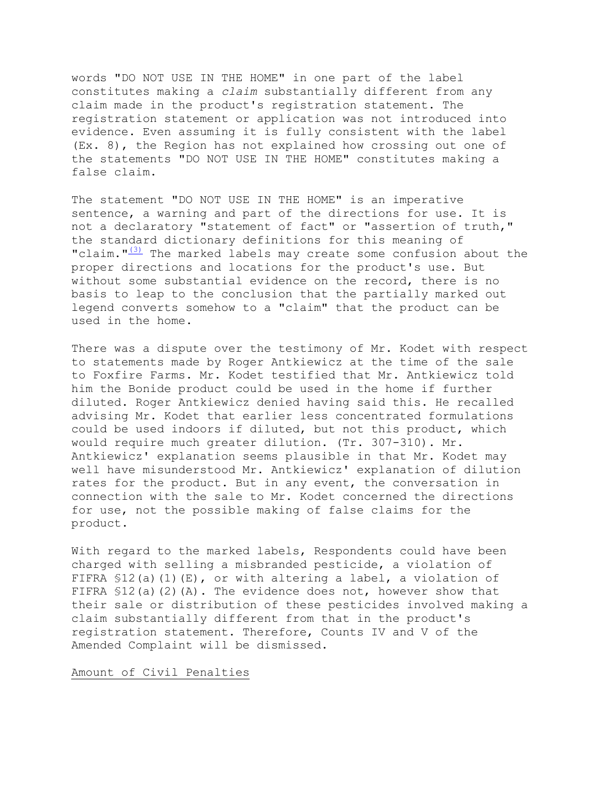words "DO NOT USE IN THE HOME" in one part of the label constitutes making a *claim* substantially different from any claim made in the product's registration statement. The registration statement or application was not introduced into evidence. Even assuming it is fully consistent with the label (Ex. 8), the Region has not explained how crossing out one of the statements "DO NOT USE IN THE HOME" constitutes making a false claim.

The statement "DO NOT USE IN THE HOME" is an imperative sentence, a warning and part of the directions for use. It is not a declaratory "statement of fact" or "assertion of truth," the standard dictionary definitions for this meaning of "claim. $\frac{1}{3}$  The marked labels may create some confusion about the proper directions and locations for the product's use. But without some substantial evidence on the record, there is no basis to leap to the conclusion that the partially marked out legend converts somehow to a "claim" that the product can be used in the home.

There was a dispute over the testimony of Mr. Kodet with respect to statements made by Roger Antkiewicz at the time of the sale to Foxfire Farms. Mr. Kodet testified that Mr. Antkiewicz told him the Bonide product could be used in the home if further diluted. Roger Antkiewicz denied having said this. He recalled advising Mr. Kodet that earlier less concentrated formulations could be used indoors if diluted, but not this product, which would require much greater dilution. (Tr. 307-310). Mr. Antkiewicz' explanation seems plausible in that Mr. Kodet may well have misunderstood Mr. Antkiewicz' explanation of dilution rates for the product. But in any event, the conversation in connection with the sale to Mr. Kodet concerned the directions for use, not the possible making of false claims for the product.

With regard to the marked labels, Respondents could have been charged with selling a misbranded pesticide, a violation of FIFRA \$12(a)(1)(E), or with altering a label, a violation of FIFRA \$12(a)(2)(A). The evidence does not, however show that their sale or distribution of these pesticides involved making a claim substantially different from that in the product's registration statement. Therefore, Counts IV and V of the Amended Complaint will be dismissed.

Amount of Civil Penalties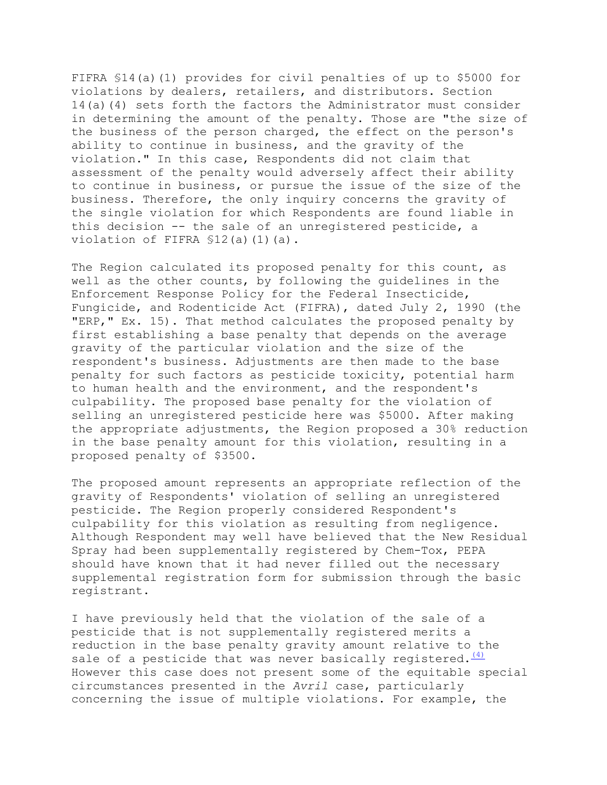FIFRA §14(a)(1) provides for civil penalties of up to \$5000 for violations by dealers, retailers, and distributors. Section 14(a)(4) sets forth the factors the Administrator must consider in determining the amount of the penalty. Those are "the size of the business of the person charged, the effect on the person's ability to continue in business, and the gravity of the violation." In this case, Respondents did not claim that assessment of the penalty would adversely affect their ability to continue in business, or pursue the issue of the size of the business. Therefore, the only inquiry concerns the gravity of the single violation for which Respondents are found liable in this decision -- the sale of an unregistered pesticide, a violation of FIFRA \$12(a)(1)(a).

The Region calculated its proposed penalty for this count, as well as the other counts, by following the guidelines in the Enforcement Response Policy for the Federal Insecticide, Fungicide, and Rodenticide Act (FIFRA), dated July 2, 1990 (the "ERP," Ex. 15). That method calculates the proposed penalty by first establishing a base penalty that depends on the average gravity of the particular violation and the size of the respondent's business. Adjustments are then made to the base penalty for such factors as pesticide toxicity, potential harm to human health and the environment, and the respondent's culpability. The proposed base penalty for the violation of selling an unregistered pesticide here was \$5000. After making the appropriate adjustments, the Region proposed a 30% reduction in the base penalty amount for this violation, resulting in a proposed penalty of \$3500.

The proposed amount represents an appropriate reflection of the gravity of Respondents' violation of selling an unregistered pesticide. The Region properly considered Respondent's culpability for this violation as resulting from negligence. Although Respondent may well have believed that the New Residual Spray had been supplementally registered by Chem-Tox, PEPA should have known that it had never filled out the necessary supplemental registration form for submission through the basic registrant.

I have previously held that the violation of the sale of a pesticide that is not supplementally registered merits a reduction in the base penalty gravity amount relative to the sale of a pesticide that was never basically registered.  $\frac{(4)}{(4)}$ However this case does not present some of the equitable special circumstances presented in the *Avril* case, particularly concerning the issue of multiple violations. For example, the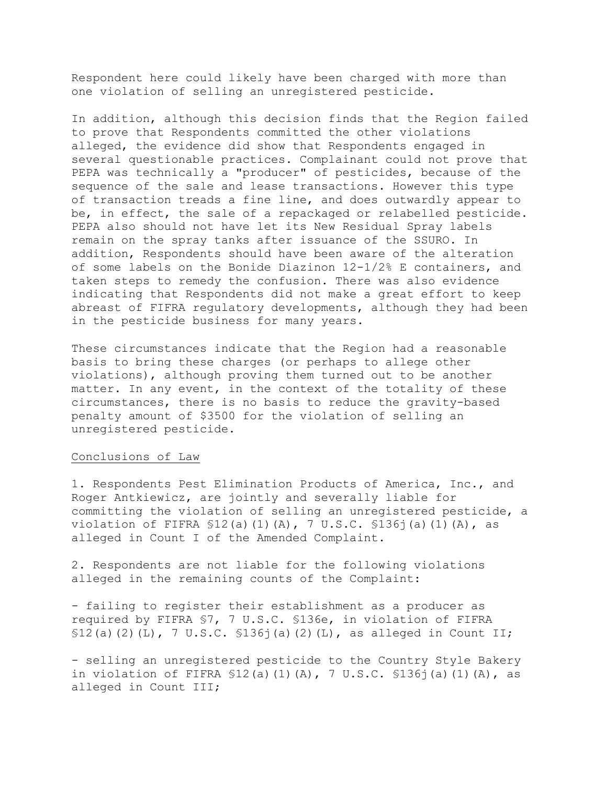Respondent here could likely have been charged with more than one violation of selling an unregistered pesticide.

In addition, although this decision finds that the Region failed to prove that Respondents committed the other violations alleged, the evidence did show that Respondents engaged in several questionable practices. Complainant could not prove that PEPA was technically a "producer" of pesticides, because of the sequence of the sale and lease transactions. However this type of transaction treads a fine line, and does outwardly appear to be, in effect, the sale of a repackaged or relabelled pesticide. PEPA also should not have let its New Residual Spray labels remain on the spray tanks after issuance of the SSURO. In addition, Respondents should have been aware of the alteration of some labels on the Bonide Diazinon 12-1/2% E containers, and taken steps to remedy the confusion. There was also evidence indicating that Respondents did not make a great effort to keep abreast of FIFRA regulatory developments, although they had been in the pesticide business for many years.

These circumstances indicate that the Region had a reasonable basis to bring these charges (or perhaps to allege other violations), although proving them turned out to be another matter. In any event, in the context of the totality of these circumstances, there is no basis to reduce the gravity-based penalty amount of \$3500 for the violation of selling an unregistered pesticide.

## Conclusions of Law

1. Respondents Pest Elimination Products of America, Inc., and Roger Antkiewicz, are jointly and severally liable for committing the violation of selling an unregistered pesticide, a violation of FIFRA  $$12(a)(1)(A)$ , 7 U.S.C.  $$136(1)(1)(A)$ , as alleged in Count I of the Amended Complaint.

2. Respondents are not liable for the following violations alleged in the remaining counts of the Complaint:

- failing to register their establishment as a producer as required by FIFRA §7, 7 U.S.C. §136e, in violation of FIFRA  $$12(a)(2)(L)$ , 7 U.S.C.  $$136j(a)(2)(L)$ , as alleged in Count II;

- selling an unregistered pesticide to the Country Style Bakery in violation of FIFRA §12(a)(1)(A), 7 U.S.C. §136j(a)(1)(A), as alleged in Count III;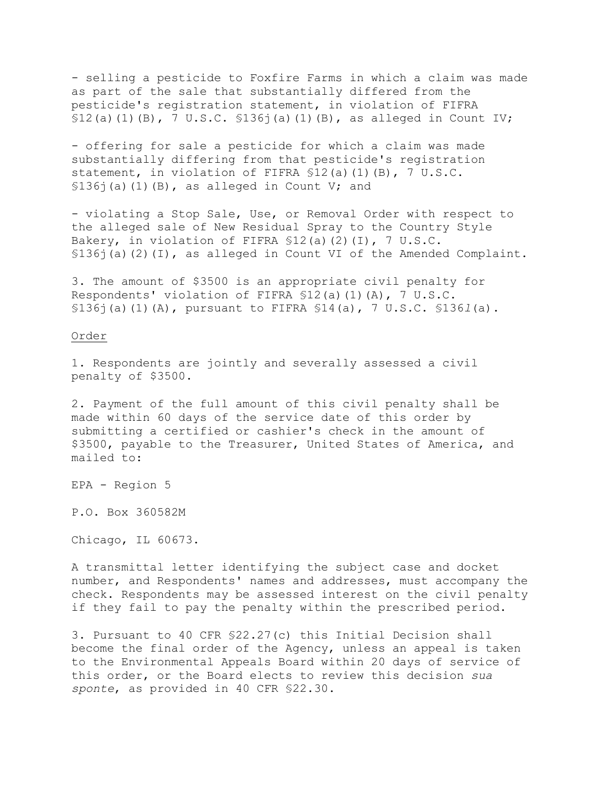- selling a pesticide to Foxfire Farms in which a claim was made as part of the sale that substantially differed from the pesticide's registration statement, in violation of FIFRA  $$12(a)(1)(B)$ , 7 U.S.C.  $$136j(a)(1)(B)$ , as alleged in Count IV;

- offering for sale a pesticide for which a claim was made substantially differing from that pesticide's registration statement, in violation of FIFRA §12(a)(1)(B), 7 U.S.C.  $$136$ <sup> $\dagger$ </sup>(a)(1)(B), as alleged in Count V; and

- violating a Stop Sale, Use, or Removal Order with respect to the alleged sale of New Residual Spray to the Country Style Bakery, in violation of FIFRA §12(a)(2)(I), 7 U.S.C. §136j(a)(2)(I), as alleged in Count VI of the Amended Complaint.

3. The amount of \$3500 is an appropriate civil penalty for Respondents' violation of FIFRA §12(a)(1)(A), 7 U.S.C. §136j(a)(1)(A), pursuant to FIFRA §14(a), 7 U.S.C. §136*l*(a).

<u>Order</u><br>1. Respondents are jointly and severally assessed a civil penalty of \$3500.

2. Payment of the full amount of this civil penalty shall be made within 60 days of the service date of this order by submitting a certified or cashier's check in the amount of \$3500, payable to the Treasurer, United States of America, and mailed to:

EPA - Region 5

P.O. Box 360582M

Chicago, IL 60673.

A transmittal letter identifying the subject case and docket number, and Respondents' names and addresses, must accompany the check. Respondents may be assessed interest on the civil penalty if they fail to pay the penalty within the prescribed period.

3. Pursuant to 40 CFR §22.27(c) this Initial Decision shall become the final order of the Agency, unless an appeal is taken to the Environmental Appeals Board within 20 days of service of this order, or the Board elects to review this decision *sua sponte*, as provided in 40 CFR §22.30.